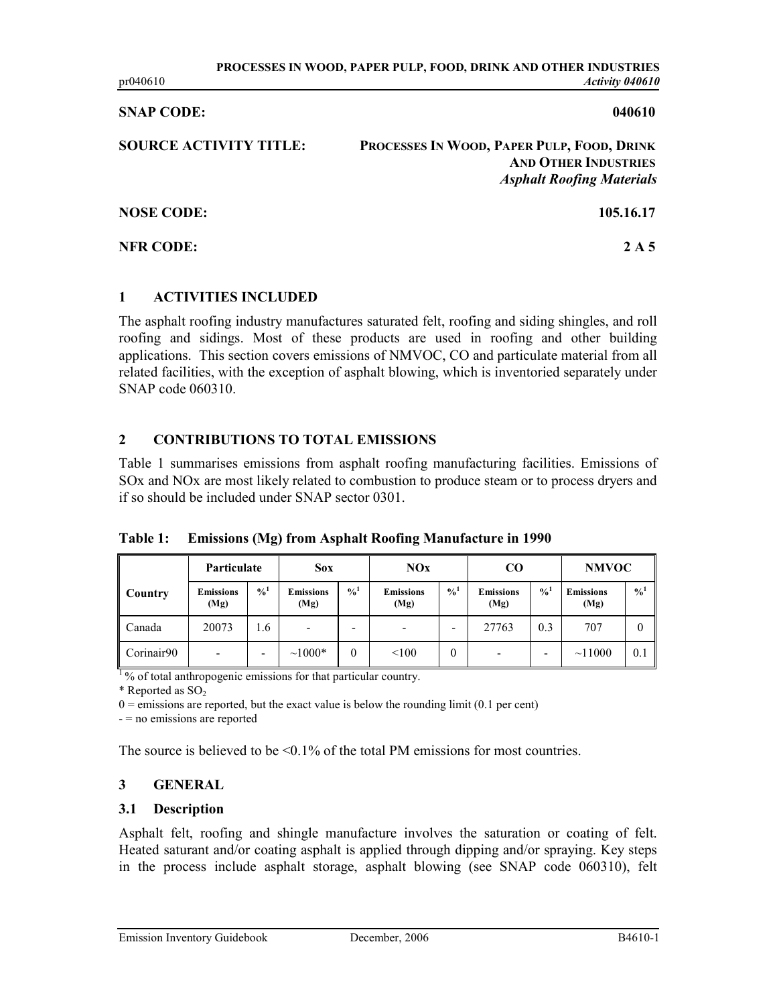#### SNAP CODE: 040610

| <b>SOURCE ACTIVITY TITLE:</b> | PROCESSES IN WOOD, PAPER PULP, FOOD, DRINK<br><b>AND OTHER INDUSTRIES</b><br><b>Asphalt Roofing Materials</b> |
|-------------------------------|---------------------------------------------------------------------------------------------------------------|
| <b>NOSE CODE:</b>             | 105.16.17                                                                                                     |
| <b>NFR CODE:</b>              | 2 A 5                                                                                                         |

## 1 ACTIVITIES INCLUDED

The asphalt roofing industry manufactures saturated felt, roofing and siding shingles, and roll roofing and sidings. Most of these products are used in roofing and other building applications. This section covers emissions of NMVOC, CO and particulate material from all related facilities, with the exception of asphalt blowing, which is inventoried separately under SNAP code 060310.

## 2 CONTRIBUTIONS TO TOTAL EMISSIONS

Table 1 summarises emissions from asphalt roofing manufacturing facilities. Emissions of SOx and NOx are most likely related to combustion to produce steam or to process dryers and if so should be included under SNAP sector 0301.

Table 1: Emissions (Mg) from Asphalt Roofing Manufacture in 1990

|                | Particulate              |               | <b>Sox</b>               |                | NOx                      |               | $\bf CO$                 |               | <b>NMVOC</b>             |               |
|----------------|--------------------------|---------------|--------------------------|----------------|--------------------------|---------------|--------------------------|---------------|--------------------------|---------------|
| <b>Country</b> | <b>Emissions</b><br>(Mg) | $\frac{0}{4}$ | <b>Emissions</b><br>(Mg) | $\frac{0}{10}$ | <b>Emissions</b><br>(Mg) | $\frac{0}{0}$ | <b>Emissions</b><br>(Mg) | $\frac{0}{4}$ | <b>Emissions</b><br>(Mg) | $\frac{0}{0}$ |
| Canada         | 20073                    | 1.6           | $\overline{\phantom{a}}$ | -              |                          | ٠             | 27763                    | 0.3           | 707                      | 0             |
| Corinair90     |                          | -             | $~1000*$                 |                | < 100                    | 0             | -                        | -             | ~11000                   | 0.1           |

<sup>1</sup>% of total anthropogenic emissions for that particular country.

 $*$  Reported as SO<sub>2</sub>

 $0 =$ emissions are reported, but the exact value is below the rounding limit (0.1 per cent)

- = no emissions are reported

The source is believed to be  $\leq 0.1\%$  of the total PM emissions for most countries.

# 3 GENERAL

#### 3.1 Description

Asphalt felt, roofing and shingle manufacture involves the saturation or coating of felt. Heated saturant and/or coating asphalt is applied through dipping and/or spraying. Key steps in the process include asphalt storage, asphalt blowing (see SNAP code 060310), felt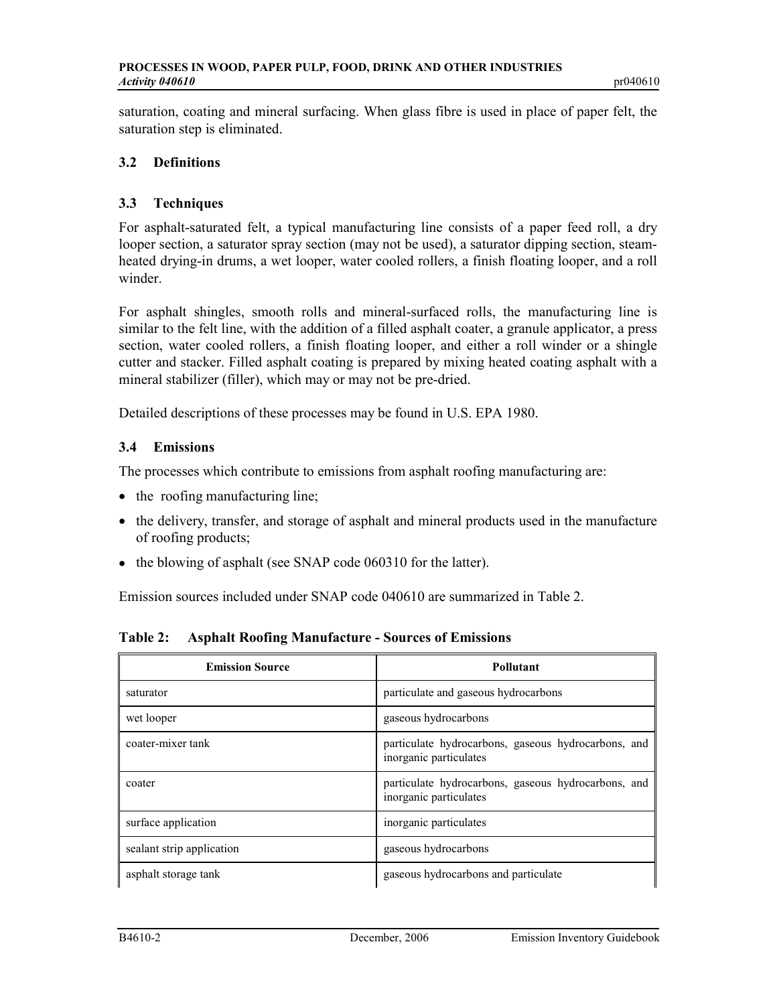saturation, coating and mineral surfacing. When glass fibre is used in place of paper felt, the saturation step is eliminated.

# 3.2 Definitions

# 3.3 Techniques

For asphalt-saturated felt, a typical manufacturing line consists of a paper feed roll, a dry looper section, a saturator spray section (may not be used), a saturator dipping section, steamheated drying-in drums, a wet looper, water cooled rollers, a finish floating looper, and a roll winder.

For asphalt shingles, smooth rolls and mineral-surfaced rolls, the manufacturing line is similar to the felt line, with the addition of a filled asphalt coater, a granule applicator, a press section, water cooled rollers, a finish floating looper, and either a roll winder or a shingle cutter and stacker. Filled asphalt coating is prepared by mixing heated coating asphalt with a mineral stabilizer (filler), which may or may not be pre-dried.

Detailed descriptions of these processes may be found in U.S. EPA 1980.

# 3.4 Emissions

The processes which contribute to emissions from asphalt roofing manufacturing are:

- the roofing manufacturing line;
- the delivery, transfer, and storage of asphalt and mineral products used in the manufacture of roofing products;
- the blowing of asphalt (see SNAP code 060310 for the latter).

Emission sources included under SNAP code 040610 are summarized in Table 2.

| <b>Emission Source</b>    | <b>Pollutant</b>                                                              |
|---------------------------|-------------------------------------------------------------------------------|
| saturator                 | particulate and gaseous hydrocarbons                                          |
| wet looper                | gaseous hydrocarbons                                                          |
| coater-mixer tank         | particulate hydrocarbons, gaseous hydrocarbons, and<br>inorganic particulates |
| coater                    | particulate hydrocarbons, gaseous hydrocarbons, and<br>inorganic particulates |
| surface application       | inorganic particulates                                                        |
| sealant strip application | gaseous hydrocarbons                                                          |
| asphalt storage tank      | gaseous hydrocarbons and particulate                                          |

Table 2: Asphalt Roofing Manufacture - Sources of Emissions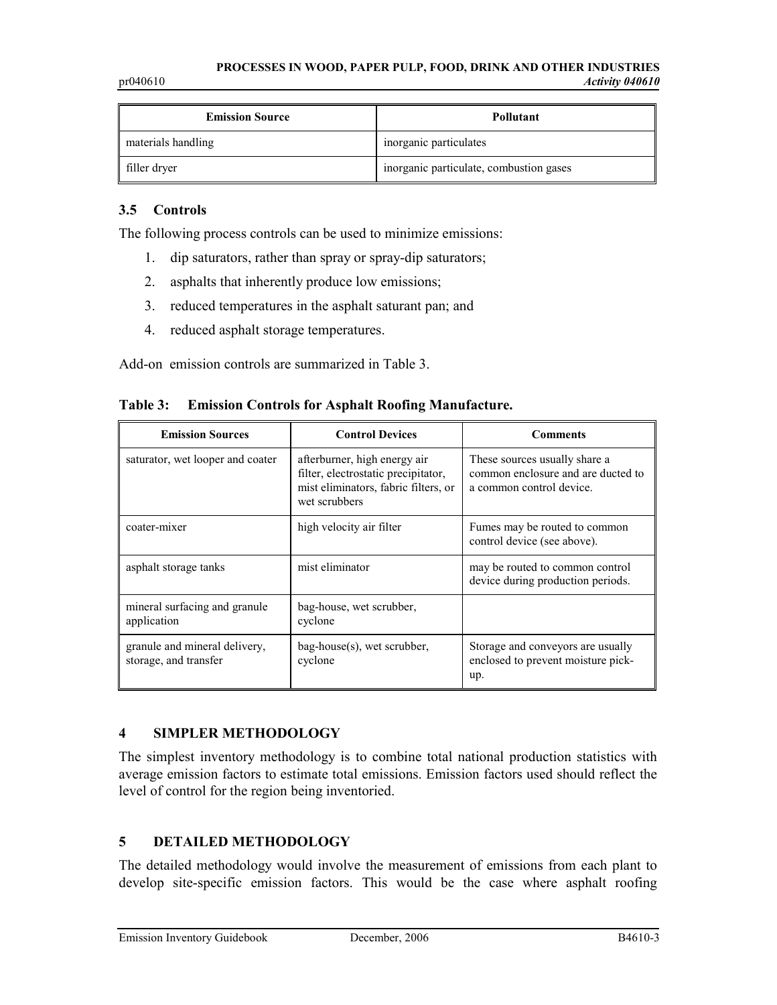| <b>Emission Source</b> | Pollutant                               |
|------------------------|-----------------------------------------|
| materials handling     | inorganic particulates                  |
| filler dryer           | inorganic particulate, combustion gases |

# 3.5 Controls

The following process controls can be used to minimize emissions:

- 1. dip saturators, rather than spray or spray-dip saturators;
- 2. asphalts that inherently produce low emissions;
- 3. reduced temperatures in the asphalt saturant pan; and
- 4. reduced asphalt storage temperatures.

Add-on emission controls are summarized in Table 3.

Table 3: Emission Controls for Asphalt Roofing Manufacture.

| <b>Emission Sources</b>                                | <b>Control Devices</b>                                                                                                       | <b>Comments</b>                                                                                 |
|--------------------------------------------------------|------------------------------------------------------------------------------------------------------------------------------|-------------------------------------------------------------------------------------------------|
| saturator, wet looper and coater                       | afterburner, high energy air<br>filter, electrostatic precipitator,<br>mist eliminators, fabric filters, or<br>wet scrubbers | These sources usually share a<br>common enclosure and are ducted to<br>a common control device. |
| coater-mixer                                           | high velocity air filter                                                                                                     | Fumes may be routed to common<br>control device (see above).                                    |
| asphalt storage tanks                                  | mist eliminator                                                                                                              | may be routed to common control<br>device during production periods.                            |
| mineral surfacing and granule<br>application           | bag-house, wet scrubber,<br>cyclone                                                                                          |                                                                                                 |
| granule and mineral delivery,<br>storage, and transfer | bag-house(s), wet scrubber,<br>cyclone                                                                                       | Storage and conveyors are usually<br>enclosed to prevent moisture pick-<br>up.                  |

# 4 SIMPLER METHODOLOGY

The simplest inventory methodology is to combine total national production statistics with average emission factors to estimate total emissions. Emission factors used should reflect the level of control for the region being inventoried.

## 5 DETAILED METHODOLOGY

The detailed methodology would involve the measurement of emissions from each plant to develop site-specific emission factors. This would be the case where asphalt roofing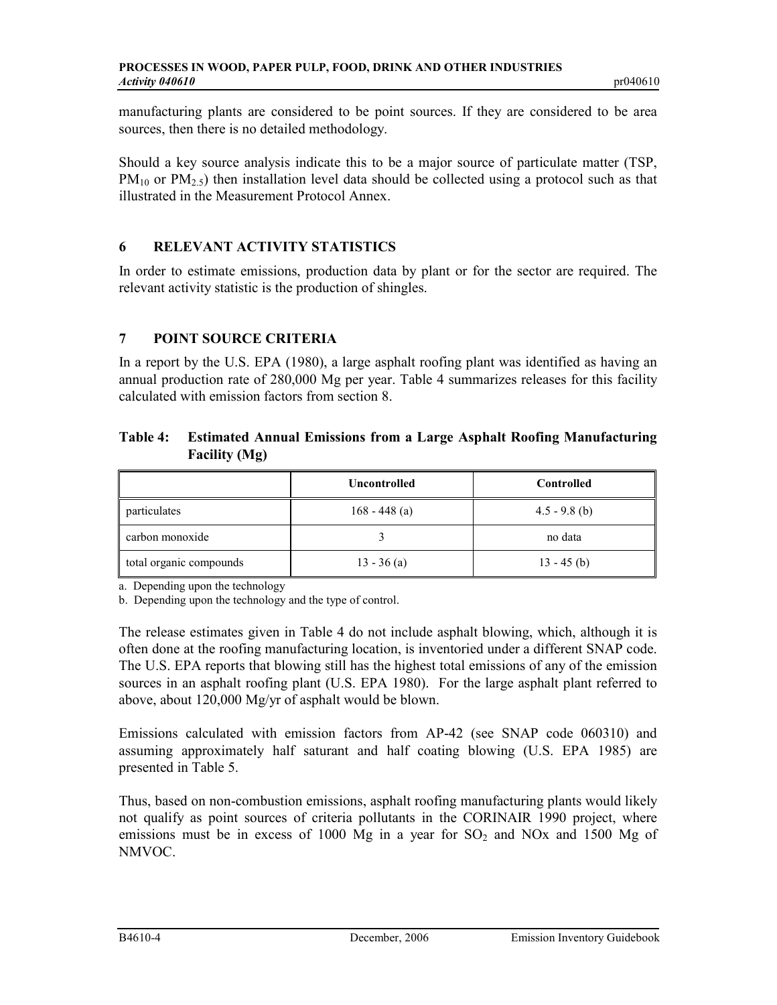manufacturing plants are considered to be point sources. If they are considered to be area sources, then there is no detailed methodology.

Should a key source analysis indicate this to be a major source of particulate matter (TSP,  $PM_{10}$  or  $PM_{2.5}$ ) then installation level data should be collected using a protocol such as that illustrated in the Measurement Protocol Annex.

# 6 RELEVANT ACTIVITY STATISTICS

In order to estimate emissions, production data by plant or for the sector are required. The relevant activity statistic is the production of shingles.

# 7 POINT SOURCE CRITERIA

In a report by the U.S. EPA (1980), a large asphalt roofing plant was identified as having an annual production rate of 280,000 Mg per year. Table 4 summarizes releases for this facility calculated with emission factors from section 8.

# Table 4: Estimated Annual Emissions from a Large Asphalt Roofing Manufacturing Facility (Mg)

|                         | <b>Uncontrolled</b> | <b>Controlled</b> |
|-------------------------|---------------------|-------------------|
| <i>particulates</i>     | 168 - 448 (a)       | $4.5 - 9.8$ (b)   |
| carbon monoxide         |                     | no data           |
| total organic compounds | $13 - 36$ (a)       | $13 - 45$ (b)     |

a. Depending upon the technology

b. Depending upon the technology and the type of control.

The release estimates given in Table 4 do not include asphalt blowing, which, although it is often done at the roofing manufacturing location, is inventoried under a different SNAP code. The U.S. EPA reports that blowing still has the highest total emissions of any of the emission sources in an asphalt roofing plant (U.S. EPA 1980). For the large asphalt plant referred to above, about 120,000 Mg/yr of asphalt would be blown.

Emissions calculated with emission factors from AP-42 (see SNAP code 060310) and assuming approximately half saturant and half coating blowing (U.S. EPA 1985) are presented in Table 5.

Thus, based on non-combustion emissions, asphalt roofing manufacturing plants would likely not qualify as point sources of criteria pollutants in the CORINAIR 1990 project, where emissions must be in excess of 1000 Mg in a year for  $SO<sub>2</sub>$  and NOx and 1500 Mg of NMVOC.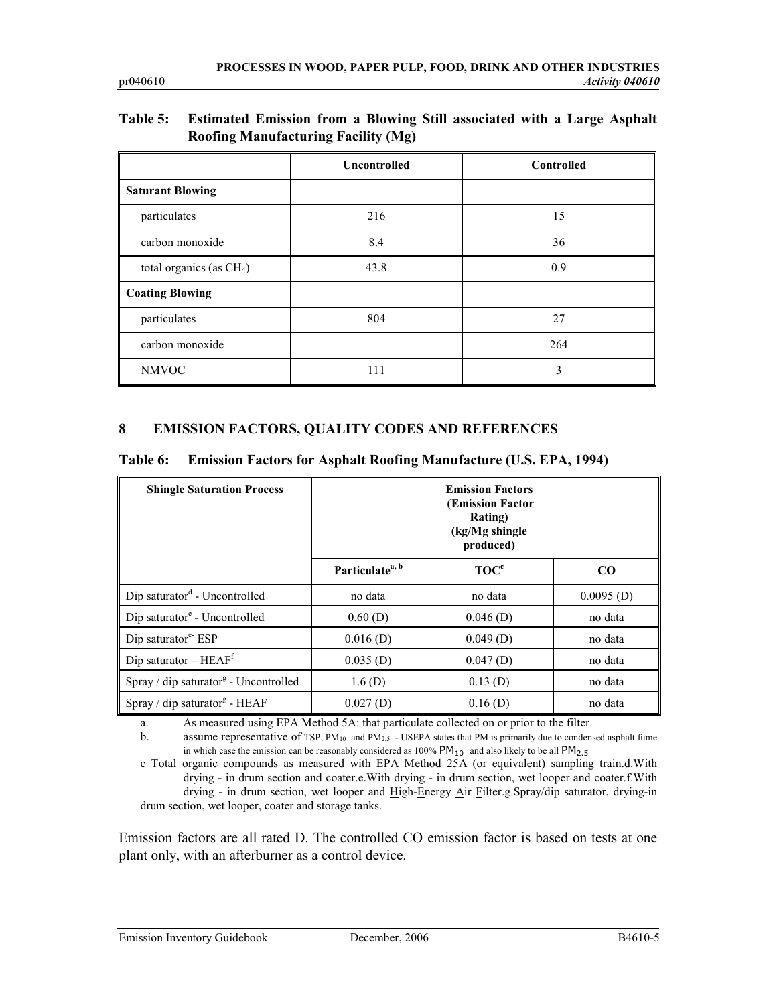# Table 5: Estimated Emission from a Blowing Still associated with a Large Asphalt Roofing Manufacturing Facility (Mg)

|                            | <b>Uncontrolled</b> | Controlled |
|----------------------------|---------------------|------------|
| <b>Saturant Blowing</b>    |                     |            |
| particulates               | 216                 | 15         |
| carbon monoxide            | 8.4                 | 36         |
| total organics (as $CH4$ ) | 43.8                | 0.9        |
| <b>Coating Blowing</b>     |                     |            |
| particulates               | 804                 | 27         |
| carbon monoxide            |                     | 264        |
| <b>NMVOC</b>               | 111                 | 3          |

## 8 EMISSION FACTORS, QUALITY CODES AND REFERENCES

| Table 6: Emission Factors for Asphalt Roofing Manufacture (U.S. EPA, 1994) |  |  |  |  |  |  |
|----------------------------------------------------------------------------|--|--|--|--|--|--|
|----------------------------------------------------------------------------|--|--|--|--|--|--|

| <b>Shingle Saturation Process</b>                 | <b>Emission Factors</b><br><b>(Emission Factor</b><br>Rating)<br>(kg/Mg shingle)<br>produced) |                  |              |
|---------------------------------------------------|-----------------------------------------------------------------------------------------------|------------------|--------------|
|                                                   | Particulate <sup>a, b</sup>                                                                   | TOC <sup>c</sup> | $\bf CO$     |
| Dip saturator <sup>d</sup> - Uncontrolled         | no data                                                                                       | no data          | $0.0095$ (D) |
| Dip saturator <sup>e</sup> - Uncontrolled         | 0.60(D)                                                                                       | $0.046$ (D)      | no data      |
| Dip saturator $e^{\epsilon}$ ESP                  | $0.016$ (D)                                                                                   | $0.049$ (D)      | no data      |
| Dip saturator $-$ HEAF <sup>f</sup>               | $0.035$ (D)                                                                                   | $0.047$ (D)      | no data      |
| Spray / dip saturator <sup>g</sup> - Uncontrolled | 1.6(D)                                                                                        | 0.13(D)          | no data      |
| Spray / dip saturator <sup>g</sup> - HEAF         | 0.027(D)                                                                                      | 0.16(D)          | no data      |

a. As measured using EPA Method 5A: that particulate collected on or prior to the filter.

b. assume representative of TSP, PM<sub>10</sub> and PM<sub>2.5</sub> - USEPA states that PM is primarily due to condensed asphalt fume in which case the emission can be reasonably considered as 100%  $PM_{10}$  and also likely to be all  $PM_{2.5}$ 

c Total organic compounds as measured with EPA Method 25A (or equivalent) sampling train.d.With drying - in drum section and coater.e.With drying - in drum section, wet looper and coater.f.With drying - in drum section, wet looper and High-Energy Air Filter.g.Spray/dip saturator, drying-in drum section, wet looper, coater and storage tanks.

Emission factors are all rated D. The controlled CO emission factor is based on tests at one plant only, with an afterburner as a control device.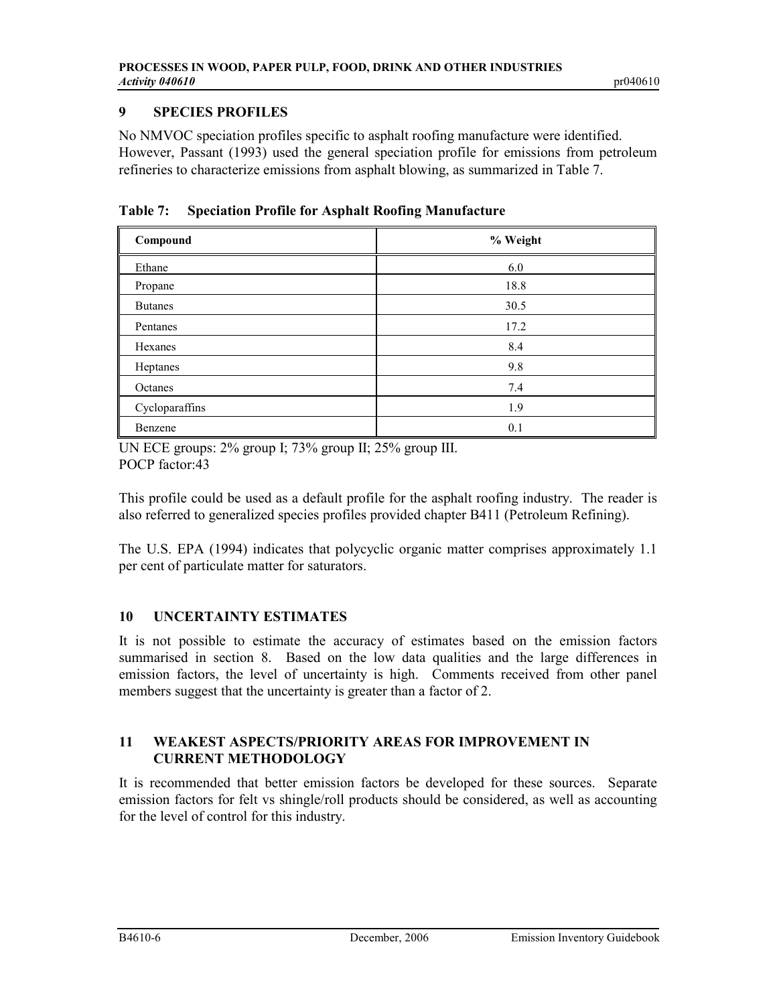# 9 SPECIES PROFILES

No NMVOC speciation profiles specific to asphalt roofing manufacture were identified. However, Passant (1993) used the general speciation profile for emissions from petroleum refineries to characterize emissions from asphalt blowing, as summarized in Table 7.

|  |  | <b>Table 7:</b> Speciation Profile for Asphalt Roofing Manufacture |
|--|--|--------------------------------------------------------------------|
|--|--|--------------------------------------------------------------------|

| Compound       | % Weight |
|----------------|----------|
| Ethane         | 6.0      |
| Propane        | 18.8     |
| <b>Butanes</b> | 30.5     |
| Pentanes       | 17.2     |
| Hexanes        | 8.4      |
| Heptanes       | 9.8      |
| Octanes        | 7.4      |
| Cycloparaffins | 1.9      |
| Benzene        | 0.1      |

UN ECE groups: 2% group I; 73% group II; 25% group III. POCP factor:43

This profile could be used as a default profile for the asphalt roofing industry. The reader is also referred to generalized species profiles provided chapter B411 (Petroleum Refining).

The U.S. EPA (1994) indicates that polycyclic organic matter comprises approximately 1.1 per cent of particulate matter for saturators.

# 10 UNCERTAINTY ESTIMATES

It is not possible to estimate the accuracy of estimates based on the emission factors summarised in section 8. Based on the low data qualities and the large differences in emission factors, the level of uncertainty is high. Comments received from other panel members suggest that the uncertainty is greater than a factor of 2.

# 11 WEAKEST ASPECTS/PRIORITY AREAS FOR IMPROVEMENT IN CURRENT METHODOLOGY

It is recommended that better emission factors be developed for these sources. Separate emission factors for felt vs shingle/roll products should be considered, as well as accounting for the level of control for this industry.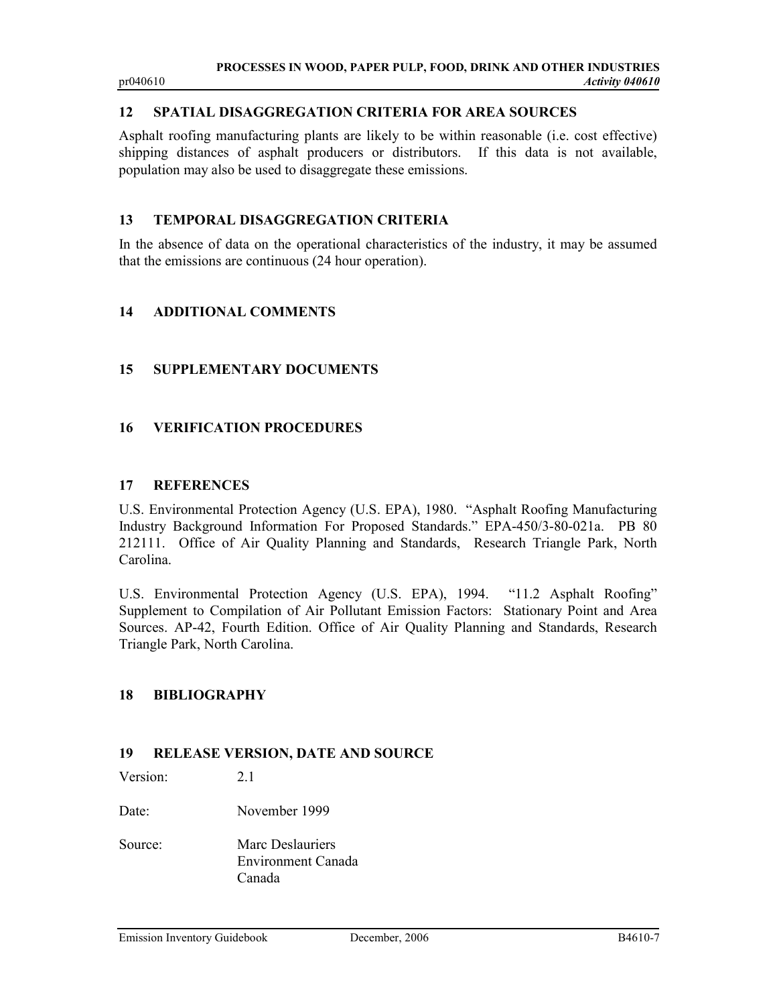# 12 SPATIAL DISAGGREGATION CRITERIA FOR AREA SOURCES

Asphalt roofing manufacturing plants are likely to be within reasonable (i.e. cost effective) shipping distances of asphalt producers or distributors. If this data is not available, population may also be used to disaggregate these emissions.

## 13 TEMPORAL DISAGGREGATION CRITERIA

In the absence of data on the operational characteristics of the industry, it may be assumed that the emissions are continuous (24 hour operation).

#### 14 ADDITIONAL COMMENTS

## 15 SUPPLEMENTARY DOCUMENTS

#### 16 VERIFICATION PROCEDURES

#### 17 REFERENCES

U.S. Environmental Protection Agency (U.S. EPA), 1980. "Asphalt Roofing Manufacturing Industry Background Information For Proposed Standards." EPA-450/3-80-021a. PB 80 212111. Office of Air Quality Planning and Standards, Research Triangle Park, North Carolina.

U.S. Environmental Protection Agency (U.S. EPA), 1994. "11.2 Asphalt Roofing" Supplement to Compilation of Air Pollutant Emission Factors: Stationary Point and Area Sources. AP-42, Fourth Edition. Office of Air Quality Planning and Standards, Research Triangle Park, North Carolina.

#### 18 BIBLIOGRAPHY

## 19 RELEASE VERSION, DATE AND SOURCE

Version: 2.1

Date: November 1999

Source: Marc Deslauriers Environment Canada Canada